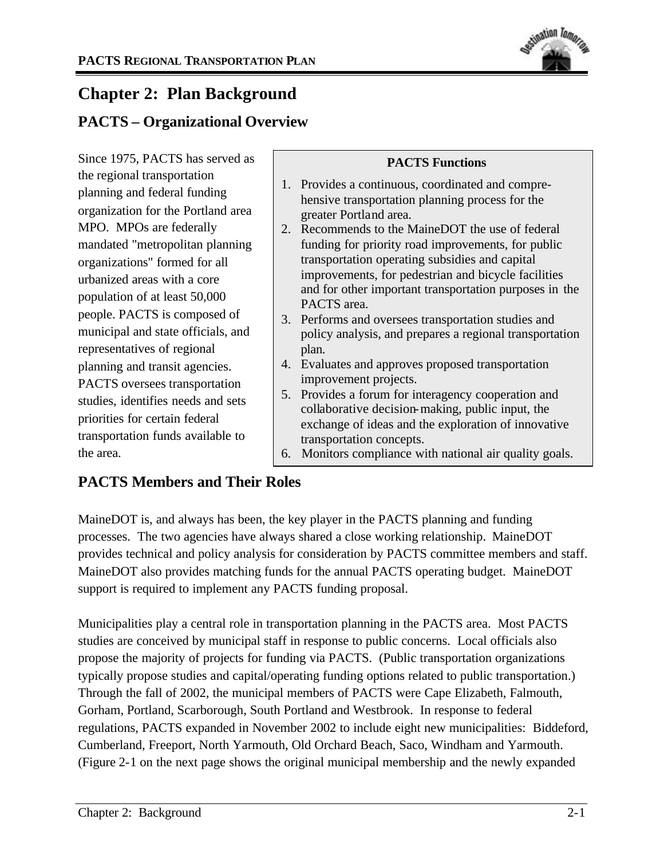

# **Chapter 2: Plan Background**

# **PACTS – Organizational Overview**

Since 1975, PACTS has served as the regional transportation planning and federal funding organization for the Portland area MPO. MPOs are federally mandated "metropolitan planning organizations" formed for all urbanized areas with a core population of at least 50,000 people. PACTS is composed of municipal and state officials, and representatives of regional planning and transit agencies. PACTS oversees transportation studies, identifies needs and sets priorities for certain federal transportation funds available to the area.

## **PACTS Functions**

- 1. Provides a continuous, coordinated and comprehensive transportation planning process for the greater Portland area.
- 2. Recommends to the MaineDOT the use of federal funding for priority road improvements, for public transportation operating subsidies and capital improvements, for pedestrian and bicycle facilities and for other important transportation purposes in the PACTS area.
- 3. Performs and oversees transportation studies and policy analysis, and prepares a regional transportation plan.
- 4. Evaluates and approves proposed transportation improvement projects.
- 5. Provides a forum for interagency cooperation and collaborative decision-making, public input, the exchange of ideas and the exploration of innovative transportation concepts.
- 6. Monitors compliance with national air quality goals.

# **PACTS Members and Their Roles**

MaineDOT is, and always has been, the key player in the PACTS planning and funding processes. The two agencies have always shared a close working relationship. MaineDOT provides technical and policy analysis for consideration by PACTS committee members and staff. MaineDOT also provides matching funds for the annual PACTS operating budget. MaineDOT support is required to implement any PACTS funding proposal.

Municipalities play a central role in transportation planning in the PACTS area. Most PACTS studies are conceived by municipal staff in response to public concerns. Local officials also propose the majority of projects for funding via PACTS. (Public transportation organizations typically propose studies and capital/operating funding options related to public transportation.) Through the fall of 2002, the municipal members of PACTS were Cape Elizabeth, Falmouth, Gorham, Portland, Scarborough, South Portland and Westbrook. In response to federal regulations, PACTS expanded in November 2002 to include eight new municipalities: Biddeford, Cumberland, Freeport, North Yarmouth, Old Orchard Beach, Saco, Windham and Yarmouth. (Figure 2-1 on the next page shows the original municipal membership and the newly expanded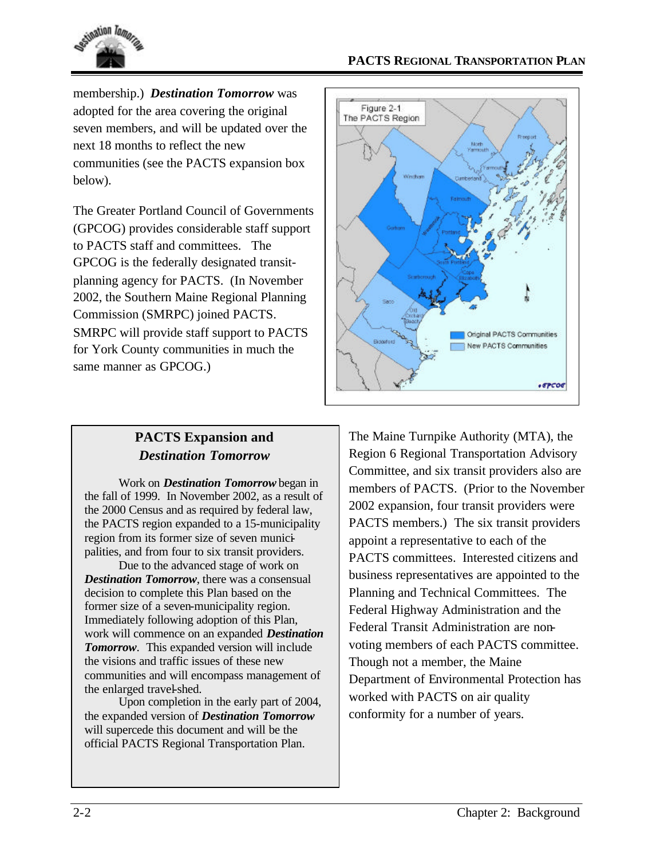

membership.) *Destination Tomorrow* was adopted for the area covering the original seven members, and will be updated over the next 18 months to reflect the new communities (see the PACTS expansion box below).

The Greater Portland Council of Governments (GPCOG) provides considerable staff support to PACTS staff and committees. The GPCOG is the federally designated transitplanning agency for PACTS. (In November 2002, the Southern Maine Regional Planning Commission (SMRPC) joined PACTS. SMRPC will provide staff support to PACTS for York County communities in much the same manner as GPCOG.)



## **PACTS Expansion and**  *Destination Tomorrow*

Work on *Destination Tomorrow* began in the fall of 1999. In November 2002, as a result of the 2000 Census and as required by federal law, the PACTS region expanded to a 15-municipality region from its former size of seven municipalities, and from four to six transit providers.

Due to the advanced stage of work on *Destination Tomorrow*, there was a consensual decision to complete this Plan based on the former size of a seven-municipality region. Immediately following adoption of this Plan, work will commence on an expanded *Destination Tomorrow*. This expanded version will include the visions and traffic issues of these new communities and will encompass management of the enlarged travel-shed.

Upon completion in the early part of 2004, the expanded version of *Destination Tomorrow* will supercede this document and will be the official PACTS Regional Transportation Plan.

The Maine Turnpike Authority (MTA), the Region 6 Regional Transportation Advisory Committee, and six transit providers also are members of PACTS. (Prior to the November 2002 expansion, four transit providers were PACTS members.) The six transit providers appoint a representative to each of the PACTS committees. Interested citizens and business representatives are appointed to the Planning and Technical Committees. The Federal Highway Administration and the Federal Transit Administration are nonvoting members of each PACTS committee. Though not a member, the Maine Department of Environmental Protection has worked with PACTS on air quality conformity for a number of years.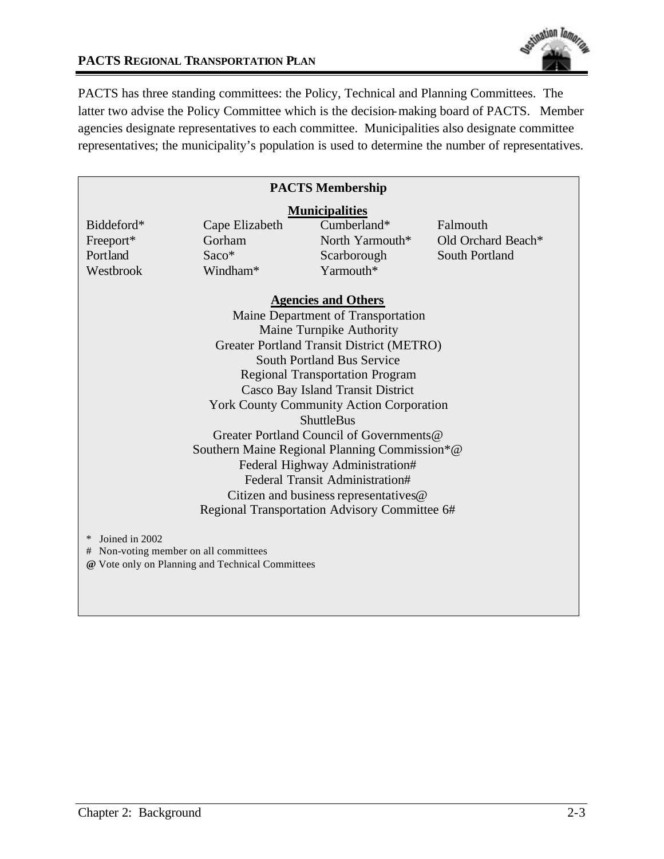

#### **PACTS REGIONAL TRANSPORTATION PLAN**

PACTS has three standing committees: the Policy, Technical and Planning Committees. The latter two advise the Policy Committee which is the decision-making board of PACTS. Member agencies designate representatives to each committee. Municipalities also designate committee representatives; the municipality's population is used to determine the number of representatives.

| <b>PACTS Membership</b>                                                                                               |                |                 |                    |
|-----------------------------------------------------------------------------------------------------------------------|----------------|-----------------|--------------------|
| <b>Municipalities</b>                                                                                                 |                |                 |                    |
| Biddeford*                                                                                                            | Cape Elizabeth | Cumberland*     | Falmouth           |
| Freeport*                                                                                                             | Gorham         | North Yarmouth* | Old Orchard Beach* |
| Portland                                                                                                              | $Saco*$        | Scarborough     | South Portland     |
| Westbrook                                                                                                             | Windham*       | Yarmouth*       |                    |
| <b>Agencies and Others</b>                                                                                            |                |                 |                    |
| Maine Department of Transportation                                                                                    |                |                 |                    |
| Maine Turnpike Authority                                                                                              |                |                 |                    |
| Greater Portland Transit District (METRO)                                                                             |                |                 |                    |
| <b>South Portland Bus Service</b>                                                                                     |                |                 |                    |
| <b>Regional Transportation Program</b>                                                                                |                |                 |                    |
| Casco Bay Island Transit District                                                                                     |                |                 |                    |
| <b>York County Community Action Corporation</b>                                                                       |                |                 |                    |
| <b>ShuttleBus</b>                                                                                                     |                |                 |                    |
| Greater Portland Council of Governments@                                                                              |                |                 |                    |
| Southern Maine Regional Planning Commission*@                                                                         |                |                 |                    |
| Federal Highway Administration#                                                                                       |                |                 |                    |
| Federal Transit Administration#                                                                                       |                |                 |                    |
| Citizen and business representatives@                                                                                 |                |                 |                    |
| Regional Transportation Advisory Committee 6#                                                                         |                |                 |                    |
| Joined in 2002<br>$\ast$<br># Non-voting member on all committees<br>@ Vote only on Planning and Technical Committees |                |                 |                    |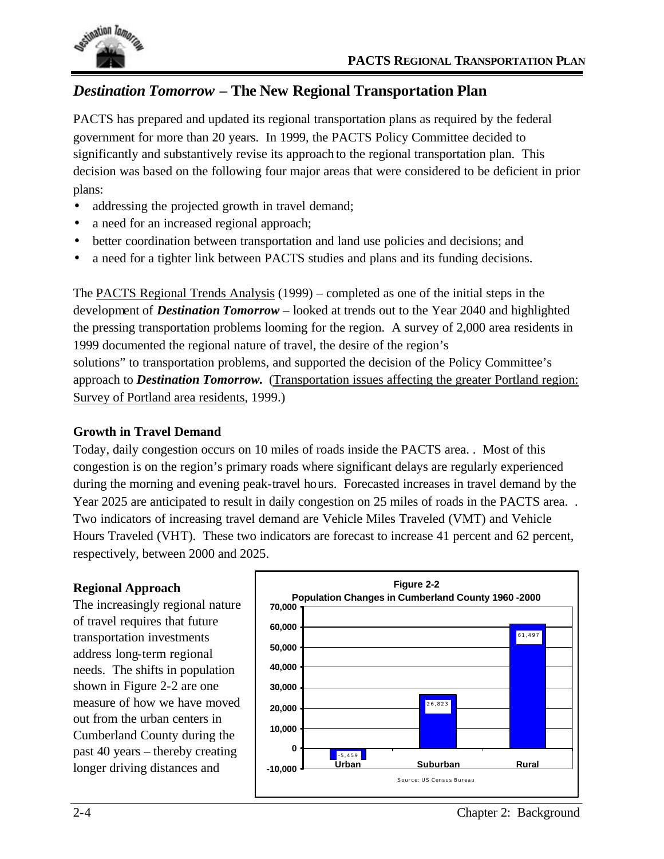

# *Destination Tomorrow* **– The New Regional Transportation Plan**

PACTS has prepared and updated its regional transportation plans as required by the federal government for more than 20 years. In 1999, the PACTS Policy Committee decided to significantly and substantively revise its approach to the regional transportation plan. This decision was based on the following four major areas that were considered to be deficient in prior plans:

- addressing the projected growth in travel demand;
- a need for an increased regional approach;
- better coordination between transportation and land use policies and decisions; and
- a need for a tighter link between PACTS studies and plans and its funding decisions.

The PACTS Regional Trends Analysis (1999) – completed as one of the initial steps in the development of *Destination Tomorrow* – looked at trends out to the Year 2040 and highlighted the pressing transportation problems looming for the region. A survey of 2,000 area residents in 1999 documented the regional nature of travel, the desire of the region's solutions" to transportation problems, and supported the decision of the Policy Committee's approach to *Destination Tomorrow.* (Transportation issues affecting the greater Portland region: Survey of Portland area residents, 1999.)

## **Growth in Travel Demand**

Today, daily congestion occurs on 10 miles of roads inside the PACTS area. . Most of this congestion is on the region's primary roads where significant delays are regularly experienced during the morning and evening peak-travel hours. Forecasted increases in travel demand by the Year 2025 are anticipated to result in daily congestion on 25 miles of roads in the PACTS area. . Two indicators of increasing travel demand are Vehicle Miles Traveled (VMT) and Vehicle Hours Traveled (VHT). These two indicators are forecast to increase 41 percent and 62 percent, respectively, between 2000 and 2025.

## **Regional Approach**

The increasingly regional nature of travel requires that future transportation investments address long-term regional needs. The shifts in population shown in Figure 2-2 are one measure of how we have moved out from the urban centers in Cumberland County during the past 40 years – thereby creating longer driving distances and

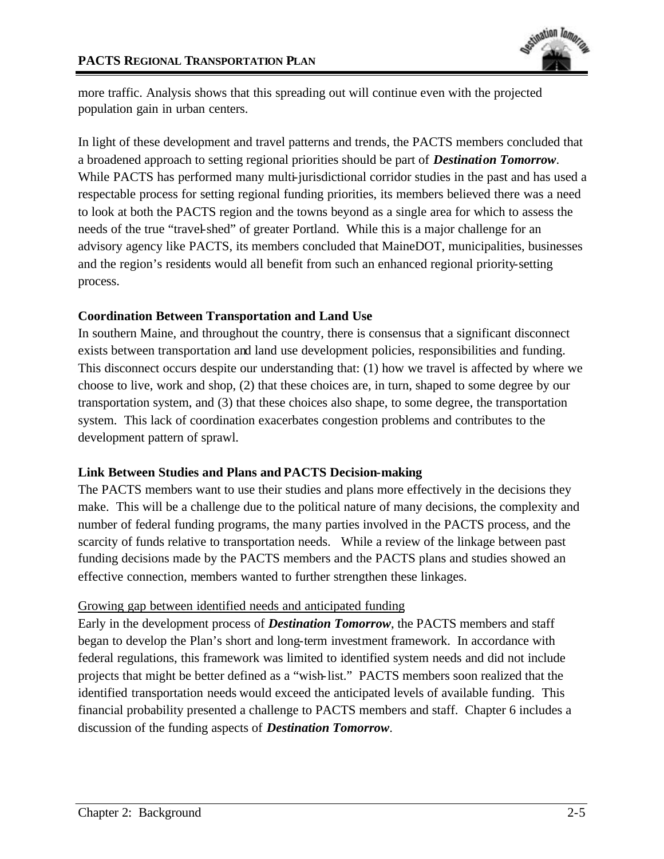

more traffic. Analysis shows that this spreading out will continue even with the projected population gain in urban centers.

In light of these development and travel patterns and trends, the PACTS members concluded that a broadened approach to setting regional priorities should be part of *Destination Tomorrow*. While PACTS has performed many multi-jurisdictional corridor studies in the past and has used a respectable process for setting regional funding priorities, its members believed there was a need to look at both the PACTS region and the towns beyond as a single area for which to assess the needs of the true "travel-shed" of greater Portland. While this is a major challenge for an advisory agency like PACTS, its members concluded that MaineDOT, municipalities, businesses and the region's residents would all benefit from such an enhanced regional priority-setting process.

#### **Coordination Between Transportation and Land Use**

In southern Maine, and throughout the country, there is consensus that a significant disconnect exists between transportation and land use development policies, responsibilities and funding. This disconnect occurs despite our understanding that: (1) how we travel is affected by where we choose to live, work and shop, (2) that these choices are, in turn, shaped to some degree by our transportation system, and (3) that these choices also shape, to some degree, the transportation system. This lack of coordination exacerbates congestion problems and contributes to the development pattern of sprawl.

## **Link Between Studies and Plans and PACTS Decision-making**

The PACTS members want to use their studies and plans more effectively in the decisions they make. This will be a challenge due to the political nature of many decisions, the complexity and number of federal funding programs, the many parties involved in the PACTS process, and the scarcity of funds relative to transportation needs. While a review of the linkage between past funding decisions made by the PACTS members and the PACTS plans and studies showed an effective connection, members wanted to further strengthen these linkages.

#### Growing gap between identified needs and anticipated funding

Early in the development process of *Destination Tomorrow*, the PACTS members and staff began to develop the Plan's short and long-term investment framework. In accordance with federal regulations, this framework was limited to identified system needs and did not include projects that might be better defined as a "wish-list." PACTS members soon realized that the identified transportation needs would exceed the anticipated levels of available funding. This financial probability presented a challenge to PACTS members and staff. Chapter 6 includes a discussion of the funding aspects of *Destination Tomorrow*.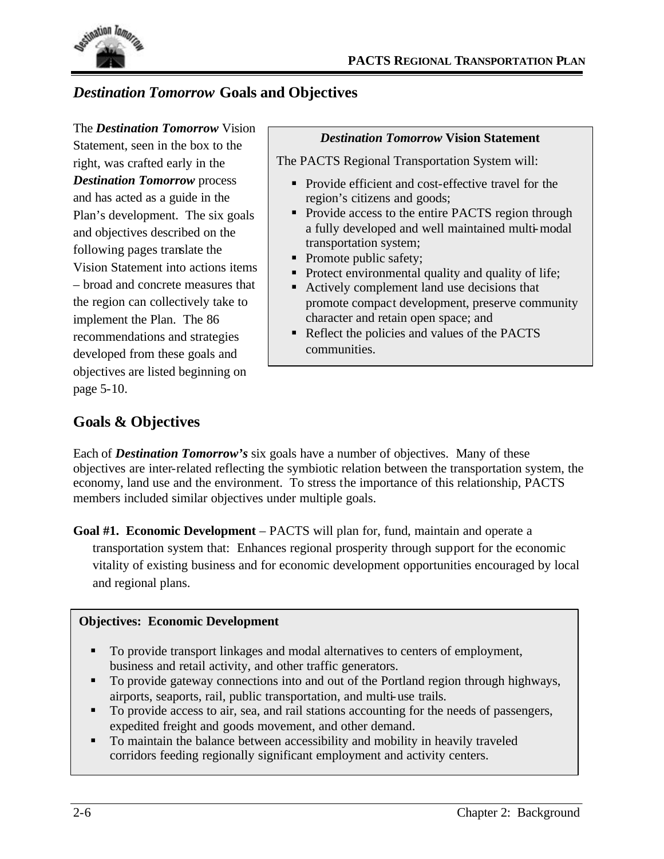

# *Destination Tomorrow* **Goals and Objectives**

The *Destination Tomorrow* Vision Statement, seen in the box to the right, was crafted early in the *Destination Tomorrow* process and has acted as a guide in the Plan's development. The six goals and objectives described on the following pages translate the Vision Statement into actions items – broad and concrete measures that the region can collectively take to implement the Plan. The 86 recommendations and strategies developed from these goals and objectives are listed beginning on page 5-10.

#### *Destination Tomorrow* **Vision Statement**

The PACTS Regional Transportation System will:

- Provide efficient and cost-effective travel for the region's citizens and goods;
- Provide access to the entire PACTS region through a fully developed and well maintained multi-modal transportation system;
- Promote public safety;
- Protect environmental quality and quality of life;
- Actively complement land use decisions that promote compact development, preserve community character and retain open space; and
- Reflect the policies and values of the PACTS communities.

# **Goals & Objectives**

Each of *Destination Tomorrow's* six goals have a number of objectives. Many of these objectives are inter-related reflecting the symbiotic relation between the transportation system, the economy, land use and the environment. To stress the importance of this relationship, PACTS members included similar objectives under multiple goals.

**Goal #1. Economic Development** – PACTS will plan for, fund, maintain and operate a transportation system that: Enhances regional prosperity through support for the economic vitality of existing business and for economic development opportunities encouraged by local and regional plans.

#### **Objectives: Economic Development**

- ß To provide transport linkages and modal alternatives to centers of employment, business and retail activity, and other traffic generators.
- ß To provide gateway connections into and out of the Portland region through highways, airports, seaports, rail, public transportation, and multi-use trails.
- ß To provide access to air, sea, and rail stations accounting for the needs of passengers, expedited freight and goods movement, and other demand.
- To maintain the balance between accessibility and mobility in heavily traveled corridors feeding regionally significant employment and activity centers.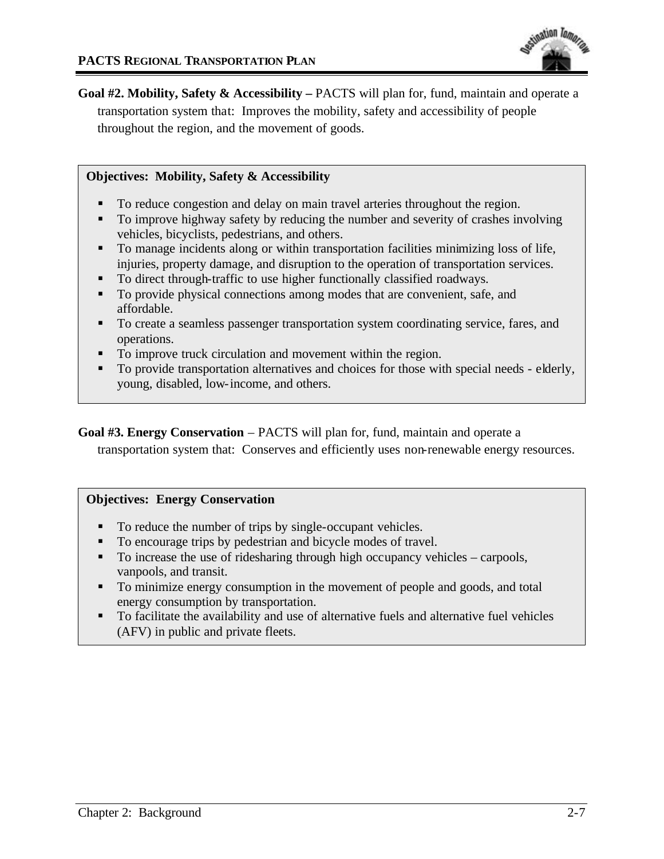

**Goal #2. Mobility, Safety & Accessibility –** PACTS will plan for, fund, maintain and operate a transportation system that: Improves the mobility, safety and accessibility of people throughout the region, and the movement of goods.

#### **Objectives: Mobility, Safety & Accessibility**

- ß To reduce congestion and delay on main travel arteries throughout the region.
- ß To improve highway safety by reducing the number and severity of crashes involving vehicles, bicyclists, pedestrians, and others.
- To manage incidents along or within transportation facilities minimizing loss of life, injuries, property damage, and disruption to the operation of transportation services.
- To direct through-traffic to use higher functionally classified roadways.
- To provide physical connections among modes that are convenient, safe, and affordable.
- ß To create a seamless passenger transportation system coordinating service, fares, and operations.
- To improve truck circulation and movement within the region.
- ß To provide transportation alternatives and choices for those with special needs elderly, young, disabled, low-income, and others.

**Goal #3. Energy Conservation** – PACTS will plan for, fund, maintain and operate a transportation system that: Conserves and efficiently uses non-renewable energy resources.

#### **Objectives: Energy Conservation**

- To reduce the number of trips by single-occupant vehicles.
- ß To encourage trips by pedestrian and bicycle modes of travel.
- $\blacksquare$  To increase the use of ridesharing through high occupancy vehicles carpools, vanpools, and transit.
- **To minimize energy consumption in the movement of people and goods, and total** energy consumption by transportation.
- ß To facilitate the availability and use of alternative fuels and alternative fuel vehicles (AFV) in public and private fleets.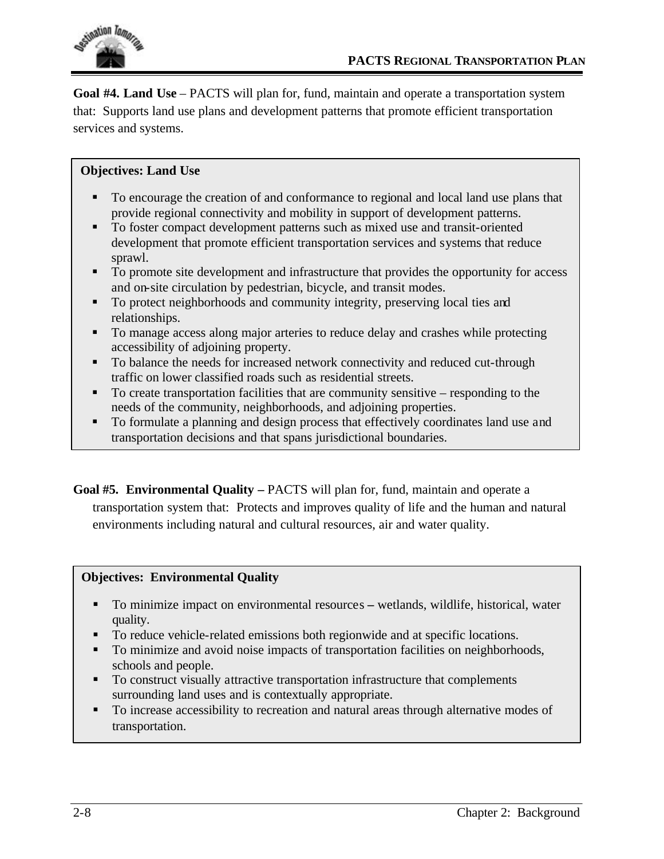

**Goal #4. Land Use** – PACTS will plan for, fund, maintain and operate a transportation system that: Supports land use plans and development patterns that promote efficient transportation services and systems.

## **Objectives: Land Use**

- ß To encourage the creation of and conformance to regional and local land use plans that provide regional connectivity and mobility in support of development patterns.
- ß To foster compact development patterns such as mixed use and transit-oriented development that promote efficient transportation services and systems that reduce sprawl.
- ß To promote site development and infrastructure that provides the opportunity for access and on-site circulation by pedestrian, bicycle, and transit modes.
- To protect neighborhoods and community integrity, preserving local ties and relationships.
- $\blacksquare$  To manage access along major arteries to reduce delay and crashes while protecting accessibility of adjoining property.
- ß To balance the needs for increased network connectivity and reduced cut-through traffic on lower classified roads such as residential streets.
- $\blacksquare$  To create transportation facilities that are community sensitive responding to the needs of the community, neighborhoods, and adjoining properties.
- ß To formulate a planning and design process that effectively coordinates land use and transportation decisions and that spans jurisdictional boundaries.

**Goal #5. Environmental Quality –** PACTS will plan for, fund, maintain and operate a transportation system that: Protects and improves quality of life and the human and natural environments including natural and cultural resources, air and water quality.

#### **Objectives: Environmental Quality**

- To minimize impact on environmental resources wetlands, wildlife, historical, water quality.
- ß To reduce vehicle-related emissions both regionwide and at specific locations.
- ß To minimize and avoid noise impacts of transportation facilities on neighborhoods, schools and people.
- To construct visually attractive transportation infrastructure that complements surrounding land uses and is contextually appropriate.
- $\blacksquare$  To increase accessibility to recreation and natural areas through alternative modes of transportation.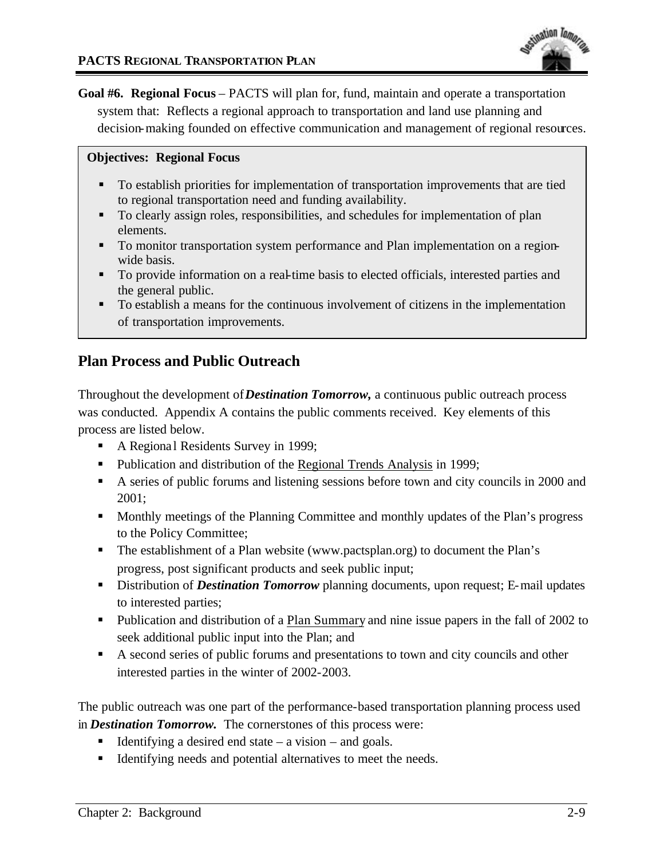Goal #6. Regional Focus – PACTS will plan for, fund, maintain and operate a transportation system that: Reflects a regional approach to transportation and land use planning and decision-making founded on effective communication and management of regional resources.

#### **Objectives: Regional Focus**

- To establish priorities for implementation of transportation improvements that are tied to regional transportation need and funding availability.
- ß To clearly assign roles, responsibilities, and schedules for implementation of plan elements.
- ß To monitor transportation system performance and Plan implementation on a regionwide basis.
- ß To provide information on a real-time basis to elected officials, interested parties and the general public.
- To establish a means for the continuous involvement of citizens in the implementation of transportation improvements.

# **Plan Process and Public Outreach**

Throughout the development of *Destination Tomorrow,* a continuous public outreach process was conducted. Appendix A contains the public comments received. Key elements of this process are listed below.

- A Regional Residents Survey in 1999;
- Publication and distribution of the Regional Trends Analysis in 1999;
- A series of public forums and listening sessions before town and city councils in 2000 and 2001;
- Monthly meetings of the Planning Committee and monthly updates of the Plan's progress to the Policy Committee;
- The establishment of a Plan website (www.pactsplan.org) to document the Plan's progress, post significant products and seek public input;
- **EXTERN** Distribution of *Destination Tomorrow* planning documents, upon request; E-mail updates to interested parties;
- Publication and distribution of a Plan Summary and nine issue papers in the fall of 2002 to seek additional public input into the Plan; and
- A second series of public forums and presentations to town and city councils and other interested parties in the winter of 2002-2003.

The public outreach was one part of the performance-based transportation planning process used in *Destination Tomorrow.* The cornerstones of this process were:

- **Identifying a desired end state a vision and goals.**
- **IDENTIFY** Identifying needs and potential alternatives to meet the needs.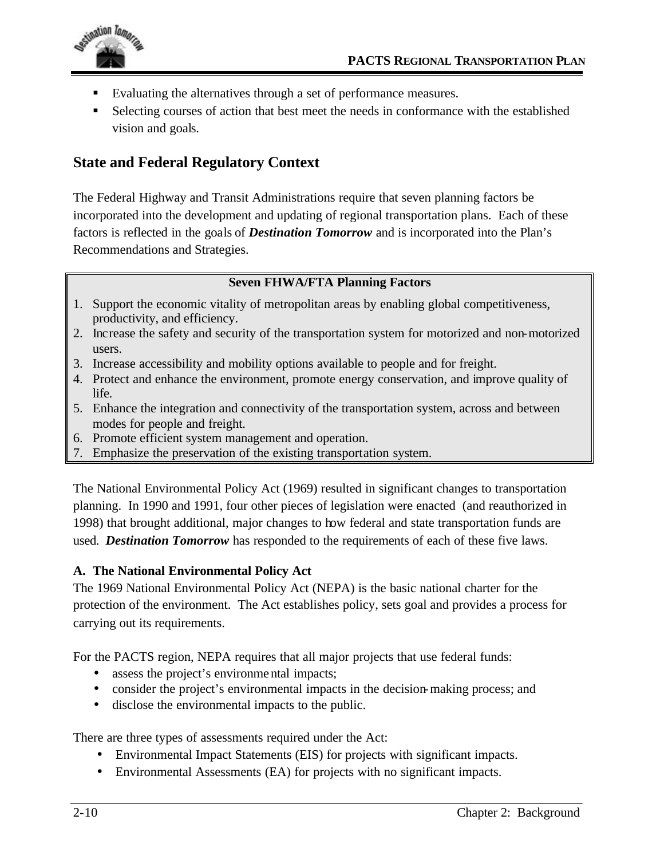

- ß Evaluating the alternatives through a set of performance measures.
- **Belecting courses of action that best meet the needs in conformance with the established** vision and goals.

# **State and Federal Regulatory Context**

The Federal Highway and Transit Administrations require that seven planning factors be incorporated into the development and updating of regional transportation plans. Each of these factors is reflected in the goals of *Destination Tomorrow* and is incorporated into the Plan's Recommendations and Strategies.

## **Seven FHWA/FTA Planning Factors**

- 1. Support the economic vitality of metropolitan areas by enabling global competitiveness, productivity, and efficiency.
- 2. Increase the safety and security of the transportation system for motorized and non-motorized users.
- 3. Increase accessibility and mobility options available to people and for freight.
- 4. Protect and enhance the environment, promote energy conservation, and improve quality of life.
- 5. Enhance the integration and connectivity of the transportation system, across and between modes for people and freight.
- 6. Promote efficient system management and operation.
- 7. Emphasize the preservation of the existing transportation system.

The National Environmental Policy Act (1969) resulted in significant changes to transportation planning. In 1990 and 1991, four other pieces of legislation were enacted (and reauthorized in 1998) that brought additional, major changes to how federal and state transportation funds are used. *Destination Tomorrow* has responded to the requirements of each of these five laws.

## **A. The National Environmental Policy Act**

The 1969 National Environmental Policy Act (NEPA) is the basic national charter for the protection of the environment. The Act establishes policy, sets goal and provides a process for carrying out its requirements.

For the PACTS region, NEPA requires that all major projects that use federal funds:

- assess the project's environmental impacts;
- consider the project's environmental impacts in the decision-making process; and
- disclose the environmental impacts to the public.

There are three types of assessments required under the Act:

- Environmental Impact Statements (EIS) for projects with significant impacts.
- Environmental Assessments (EA) for projects with no significant impacts.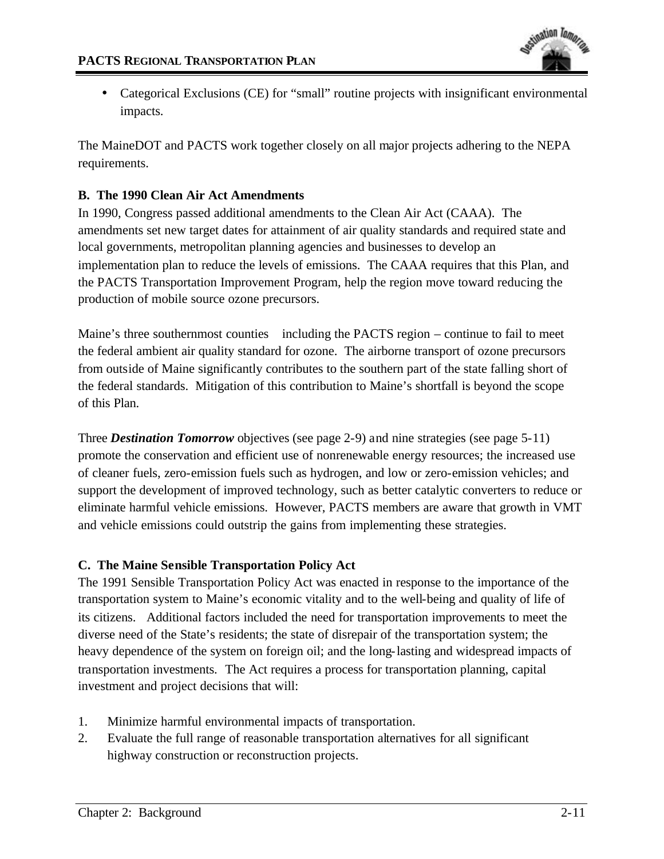

• Categorical Exclusions (CE) for "small" routine projects with insignificant environmental impacts.

The MaineDOT and PACTS work together closely on all major projects adhering to the NEPA requirements.

#### **B. The 1990 Clean Air Act Amendments**

In 1990, Congress passed additional amendments to the Clean Air Act (CAAA). The amendments set new target dates for attainment of air quality standards and required state and local governments, metropolitan planning agencies and businesses to develop an implementation plan to reduce the levels of emissions. The CAAA requires that this Plan, and the PACTS Transportation Improvement Program, help the region move toward reducing the production of mobile source ozone precursors.

Maine's three southernmost counties including the PACTS region – continue to fail to meet the federal ambient air quality standard for ozone. The airborne transport of ozone precursors from outside of Maine significantly contributes to the southern part of the state falling short of the federal standards. Mitigation of this contribution to Maine's shortfall is beyond the scope of this Plan.

Three *Destination Tomorrow* objectives (see page 2-9) and nine strategies (see page 5-11) promote the conservation and efficient use of nonrenewable energy resources; the increased use of cleaner fuels, zero-emission fuels such as hydrogen, and low or zero-emission vehicles; and support the development of improved technology, such as better catalytic converters to reduce or eliminate harmful vehicle emissions. However, PACTS members are aware that growth in VMT and vehicle emissions could outstrip the gains from implementing these strategies.

#### **C. The Maine Sensible Transportation Policy Act**

The 1991 Sensible Transportation Policy Act was enacted in response to the importance of the transportation system to Maine's economic vitality and to the well-being and quality of life of its citizens. Additional factors included the need for transportation improvements to meet the diverse need of the State's residents; the state of disrepair of the transportation system; the heavy dependence of the system on foreign oil; and the long-lasting and widespread impacts of transportation investments. The Act requires a process for transportation planning, capital investment and project decisions that will:

- 1. Minimize harmful environmental impacts of transportation.
- 2. Evaluate the full range of reasonable transportation alternatives for all significant highway construction or reconstruction projects.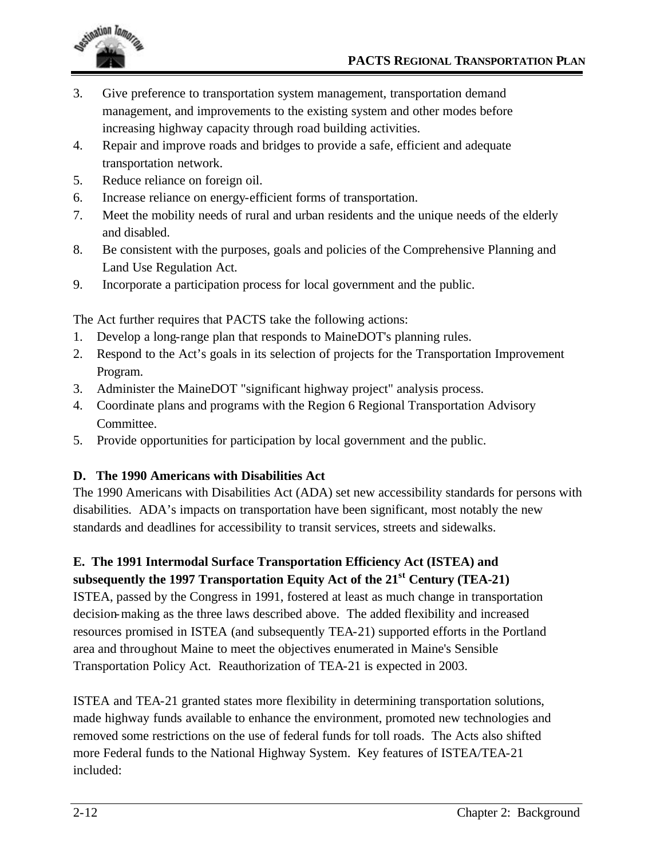

- 3. Give preference to transportation system management, transportation demand management, and improvements to the existing system and other modes before increasing highway capacity through road building activities.
- 4. Repair and improve roads and bridges to provide a safe, efficient and adequate transportation network.
- 5. Reduce reliance on foreign oil.
- 6. Increase reliance on energy-efficient forms of transportation.
- 7. Meet the mobility needs of rural and urban residents and the unique needs of the elderly and disabled.
- 8. Be consistent with the purposes, goals and policies of the Comprehensive Planning and Land Use Regulation Act.
- 9. Incorporate a participation process for local government and the public.

The Act further requires that PACTS take the following actions:

- 1. Develop a long-range plan that responds to MaineDOT's planning rules.
- 2. Respond to the Act's goals in its selection of projects for the Transportation Improvement Program.
- 3. Administer the MaineDOT "significant highway project" analysis process.
- 4. Coordinate plans and programs with the Region 6 Regional Transportation Advisory Committee.
- 5. Provide opportunities for participation by local government and the public.

## **D. The 1990 Americans with Disabilities Act**

The 1990 Americans with Disabilities Act (ADA) set new accessibility standards for persons with disabilities. ADA's impacts on transportation have been significant, most notably the new standards and deadlines for accessibility to transit services, streets and sidewalks.

## **E. The 1991 Intermodal Surface Transportation Efficiency Act (ISTEA) and subsequently the 1997 Transportation Equity Act of the 21st Century (TEA-21)**

ISTEA, passed by the Congress in 1991, fostered at least as much change in transportation decision-making as the three laws described above. The added flexibility and increased resources promised in ISTEA (and subsequently TEA-21) supported efforts in the Portland area and throughout Maine to meet the objectives enumerated in Maine's Sensible Transportation Policy Act. Reauthorization of TEA-21 is expected in 2003.

ISTEA and TEA-21 granted states more flexibility in determining transportation solutions, made highway funds available to enhance the environment, promoted new technologies and removed some restrictions on the use of federal funds for toll roads. The Acts also shifted more Federal funds to the National Highway System. Key features of ISTEA/TEA-21 included: